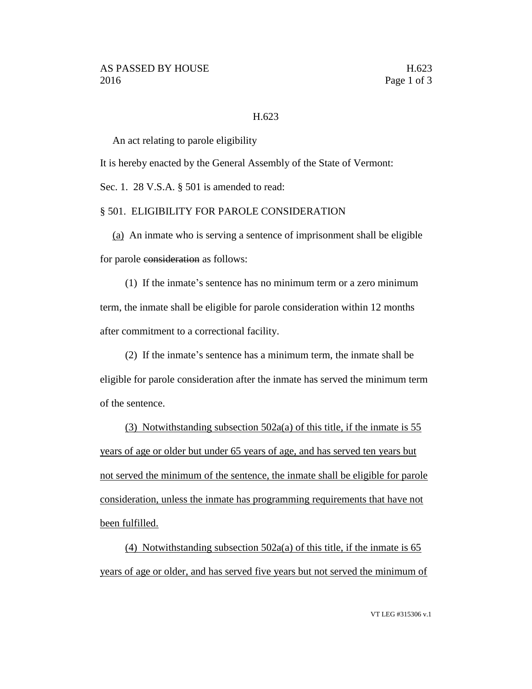## H.623

An act relating to parole eligibility

It is hereby enacted by the General Assembly of the State of Vermont:

Sec. 1. 28 V.S.A. § 501 is amended to read:

## § 501. ELIGIBILITY FOR PAROLE CONSIDERATION

(a) An inmate who is serving a sentence of imprisonment shall be eligible for parole consideration as follows:

(1) If the inmate's sentence has no minimum term or a zero minimum term, the inmate shall be eligible for parole consideration within 12 months after commitment to a correctional facility.

(2) If the inmate's sentence has a minimum term, the inmate shall be eligible for parole consideration after the inmate has served the minimum term of the sentence.

(3) Notwithstanding subsection 502a(a) of this title, if the inmate is 55 years of age or older but under 65 years of age, and has served ten years but not served the minimum of the sentence, the inmate shall be eligible for parole consideration, unless the inmate has programming requirements that have not been fulfilled.

(4) Notwithstanding subsection 502a(a) of this title, if the inmate is 65 years of age or older, and has served five years but not served the minimum of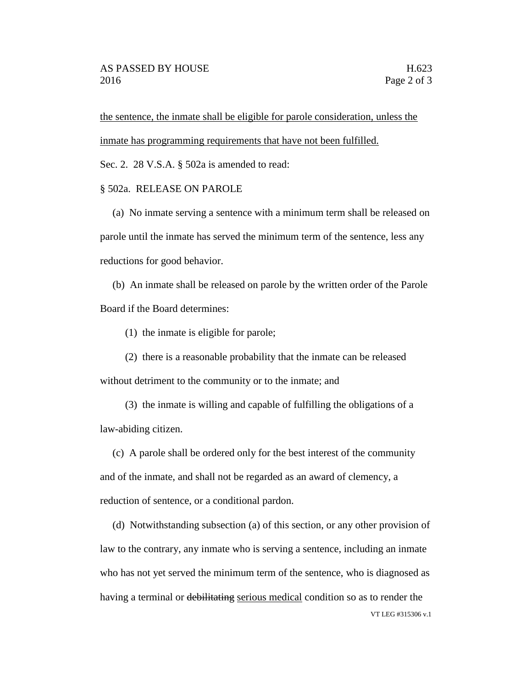the sentence, the inmate shall be eligible for parole consideration, unless the inmate has programming requirements that have not been fulfilled.

Sec. 2. 28 V.S.A. § 502a is amended to read:

## § 502a. RELEASE ON PAROLE

(a) No inmate serving a sentence with a minimum term shall be released on parole until the inmate has served the minimum term of the sentence, less any reductions for good behavior.

(b) An inmate shall be released on parole by the written order of the Parole Board if the Board determines:

(1) the inmate is eligible for parole;

(2) there is a reasonable probability that the inmate can be released without detriment to the community or to the inmate; and

(3) the inmate is willing and capable of fulfilling the obligations of a law-abiding citizen.

(c) A parole shall be ordered only for the best interest of the community and of the inmate, and shall not be regarded as an award of clemency, a reduction of sentence, or a conditional pardon.

VT LEG #315306 v.1 (d) Notwithstanding subsection (a) of this section, or any other provision of law to the contrary, any inmate who is serving a sentence, including an inmate who has not yet served the minimum term of the sentence, who is diagnosed as having a terminal or debilitating serious medical condition so as to render the